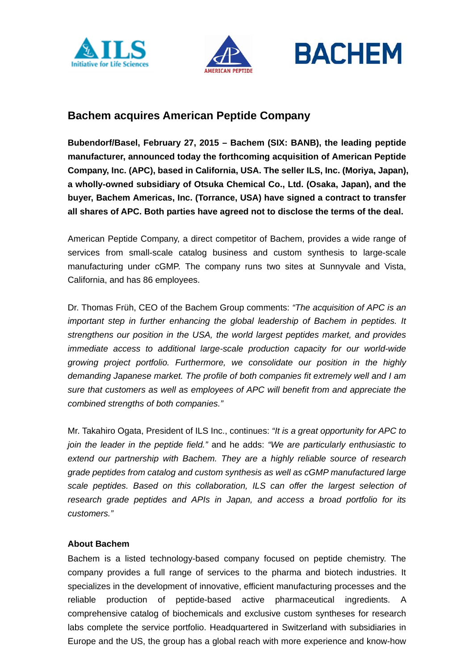





# **Bachem acquires American Peptide Company**

**Bubendorf/Basel, February 27, 2015 – Bachem (SIX: BANB), the leading peptide manufacturer, announced today the forthcoming acquisition of American Peptide Company, Inc. (APC), based in California, USA. The seller ILS, Inc. (Moriya, Japan), a wholly-owned subsidiary of Otsuka Chemical Co., Ltd. (Osaka, Japan), and the buyer, Bachem Americas, Inc. (Torrance, USA) have signed a contract to transfer all shares of APC. Both parties have agreed not to disclose the terms of the deal.** 

American Peptide Company, a direct competitor of Bachem, provides a wide range of services from small-scale catalog business and custom synthesis to large-scale manufacturing under cGMP. The company runs two sites at Sunnyvale and Vista, California, and has 86 employees.

Dr. Thomas Früh, CEO of the Bachem Group comments: *"The acquisition of APC is an important step in further enhancing the global leadership of Bachem in peptides. It strengthens our position in the USA, the world largest peptides market, and provides immediate access to additional large-scale production capacity for our world-wide growing project portfolio. Furthermore, we consolidate our position in the highly demanding Japanese market. The profile of both companies fit extremely well and I am sure that customers as well as employees of APC will benefit from and appreciate the combined strengths of both companies."*

Mr. Takahiro Ogata, President of ILS Inc., continues: *"It is a great opportunity for APC to join the leader in the peptide field."* and he adds: *"We are particularly enthusiastic to extend our partnership with Bachem. They are a highly reliable source of research grade peptides from catalog and custom synthesis as well as cGMP manufactured large scale peptides. Based on this collaboration, ILS can offer the largest selection of research grade peptides and APIs in Japan, and access a broad portfolio for its customers."*

## **About Bachem**

Bachem is a listed technology-based company focused on peptide chemistry. The company provides a full range of services to the pharma and biotech industries. It specializes in the development of innovative, efficient manufacturing processes and the reliable production of peptide-based active pharmaceutical ingredients. A comprehensive catalog of biochemicals and exclusive custom syntheses for research labs complete the service portfolio. Headquartered in Switzerland with subsidiaries in Europe and the US, the group has a global reach with more experience and know-how